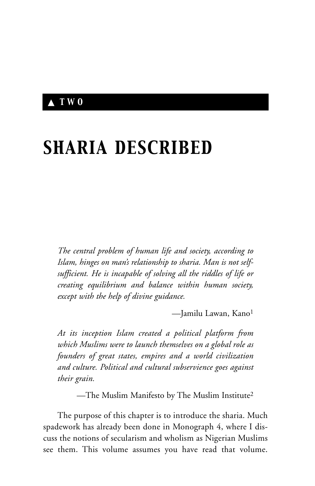# ▲ *TWO*

# *SHARIA DESCRIBED*

*The central problem of human life and society, according to Islam, hinges on man's relationship to sharia. Man is not selfsufficient. He is incapable of solving all the riddles of life or creating equilibrium and balance within human society, except with the help of divine guidance.*

—Jamilu Lawan, Kano1

*At its inception Islam created a political platform from which Muslims were to launch themselves on a global role as founders of great states, empires and a world civilization and culture. Political and cultural subservience goes against their grain.*

—The Muslim Manifesto by The Muslim Institute2

The purpose of this chapter is to introduce the sharia. Much spadework has already been done in Monograph 4, where I discuss the notions of secularism and wholism as Nigerian Muslims see them. This volume assumes you have read that volume.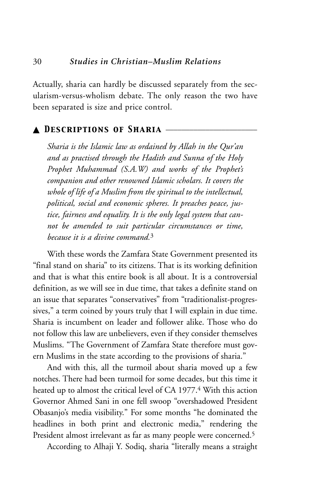Actually, sharia can hardly be discussed separately from the secularism-versus-wholism debate. The only reason the two have been separated is size and price control.

### ▲ *Descriptions of Sharia* \_\_\_\_\_\_\_\_\_\_\_\_\_\_\_\_\_\_\_\_\_\_\_

*Sharia is the Islamic law as ordained by Allah in the Qur'an and as practised through the Hadith and Sunna of the Holy Prophet Muhammad (S.A.W) and works of the Prophet's companion and other renowned Islamic scholars. It covers the whole of life of a Muslim from the spiritual to the intellectual, political, social and economic spheres. It preaches peace, justice, fairness and equality. It is the only legal system that cannot be amended to suit particular circumstances or time, because it is a divine command.*<sup>3</sup>

With these words the Zamfara State Government presented its "final stand on sharia" to its citizens. That is its working definition and that is what this entire book is all about. It is a controversial definition, as we will see in due time, that takes a definite stand on an issue that separates "conservatives" from "traditionalist-progressives," a term coined by yours truly that I will explain in due time. Sharia is incumbent on leader and follower alike. Those who do not follow this law are unbelievers, even if they consider themselves Muslims. "The Government of Zamfara State therefore must govern Muslims in the state according to the provisions of sharia."

And with this, all the turmoil about sharia moved up a few notches. There had been turmoil for some decades, but this time it heated up to almost the critical level of CA 1977.4 With this action Governor Ahmed Sani in one fell swoop "overshadowed President Obasanjo's media visibility." For some months "he dominated the headlines in both print and electronic media," rendering the President almost irrelevant as far as many people were concerned.<sup>5</sup>

According to Alhaji Y. Sodiq, sharia "literally means a straight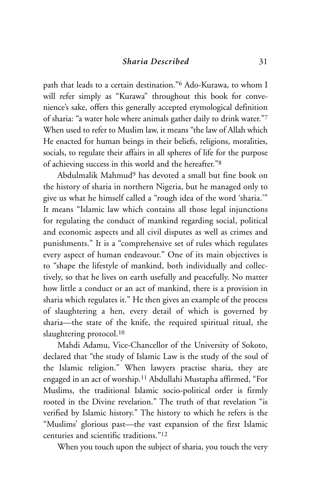path that leads to a certain destination."6 Ado-Kurawa, to whom I will refer simply as "Kurawa" throughout this book for convenience's sake, offers this generally accepted etymological definition of sharia: "a water hole where animals gather daily to drink water."7 When used to refer to Muslim law, it means "the law of Allah which He enacted for human beings in their beliefs, religions, moralities, socials, to regulate their affairs in all spheres of life for the purpose of achieving success in this world and the hereafter."8

Abdulmalik Mahmud9 has devoted a small but fine book on the history of sharia in northern Nigeria, but he managed only to give us what he himself called a "rough idea of the word 'sharia.'" It means "Islamic law which contains all those legal injunctions for regulating the conduct of mankind regarding social, political and economic aspects and all civil disputes as well as crimes and punishments." It is a "comprehensive set of rules which regulates every aspect of human endeavour." One of its main objectives is to "shape the lifestyle of mankind, both individually and collectively, so that he lives on earth usefully and peacefully. No matter how little a conduct or an act of mankind, there is a provision in sharia which regulates it." He then gives an example of the process of slaughtering a hen, every detail of which is governed by sharia—the state of the knife, the required spiritual ritual, the slaughtering protocol.<sup>10</sup>

Mahdi Adamu, Vice-Chancellor of the University of Sokoto, declared that "the study of Islamic Law is the study of the soul of the Islamic religion." When lawyers practise sharia, they are engaged in an act of worship.11 Abdullahi Mustapha affirmed, "For Muslims, the traditional Islamic socio-political order is firmly rooted in the Divine revelation." The truth of that revelation "is verified by Islamic history." The history to which he refers is the "Muslims' glorious past—the vast expansion of the first Islamic centuries and scientific traditions."12

When you touch upon the subject of sharia, you touch the very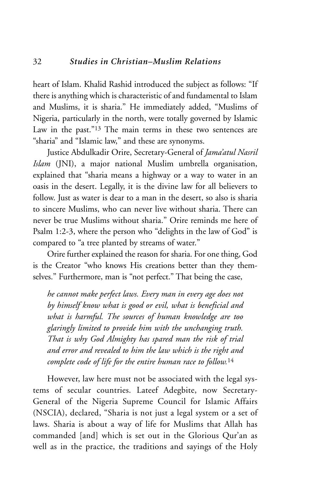heart of Islam. Khalid Rashid introduced the subject as follows: "If there is anything which is characteristic of and fundamental to Islam and Muslims, it is sharia." He immediately added, "Muslims of Nigeria, particularly in the north, were totally governed by Islamic Law in the past."13 The main terms in these two sentences are "sharia" and "Islamic law," and these are synonyms.

Justice Abdulkadir Orire, Secretary-General of *Jama'atul Nasril Islam* (JNI), a major national Muslim umbrella organisation, explained that "sharia means a highway or a way to water in an oasis in the desert. Legally, it is the divine law for all believers to follow. Just as water is dear to a man in the desert, so also is sharia to sincere Muslims, who can never live without sharia. There can never be true Muslims without sharia." Orire reminds me here of Psalm 1:2-3, where the person who "delights in the law of God" is compared to "a tree planted by streams of water."

Orire further explained the reason for sharia. For one thing, God is the Creator "who knows His creations better than they themselves." Furthermore, man is "not perfect." That being the case,

*he cannot make perfect laws. Every man in every age does not by himself know what is good or evil, what is beneficial and what is harmful. The sources of human knowledge are too glaringly limited to provide him with the unchanging truth. That is why God Almighty has spared man the risk of trial and error and revealed to him the law which is the right and complete code of life for the entire human race to follow.*<sup>14</sup>

However, law here must not be associated with the legal systems of secular countries. Lateef Adegbite, now Secretary-General of the Nigeria Supreme Council for Islamic Affairs (NSCIA), declared, "Sharia is not just a legal system or a set of laws. Sharia is about a way of life for Muslims that Allah has commanded [and] which is set out in the Glorious Qur'an as well as in the practice, the traditions and sayings of the Holy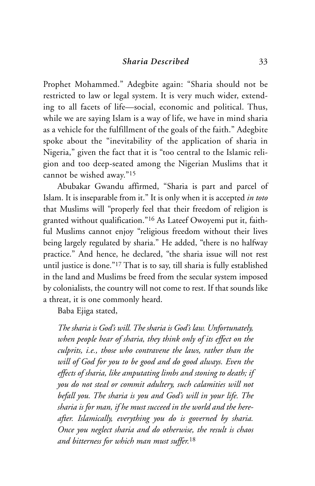Prophet Mohammed." Adegbite again: "Sharia should not be restricted to law or legal system. It is very much wider, extending to all facets of life—social, economic and political. Thus, while we are saying Islam is a way of life, we have in mind sharia as a vehicle for the fulfillment of the goals of the faith." Adegbite spoke about the "inevitability of the application of sharia in Nigeria," given the fact that it is "too central to the Islamic religion and too deep-seated among the Nigerian Muslims that it cannot be wished away."15

Abubakar Gwandu affirmed, "Sharia is part and parcel of Islam. It is inseparable from it." It is only when it is accepted *in toto* that Muslims will "properly feel that their freedom of religion is granted without qualification."16 As Lateef Owoyemi put it, faithful Muslims cannot enjoy "religious freedom without their lives being largely regulated by sharia." He added, "there is no halfway practice." And hence, he declared, "the sharia issue will not rest until justice is done."17 That is to say, till sharia is fully established in the land and Muslims be freed from the secular system imposed by colonialists, the country will not come to rest. If that sounds like a threat, it is one commonly heard.

Baba Ejiga stated,

*The sharia is God's will. The sharia is God's law. Unfortunately, when people hear of sharia, they think only of its effect on the culprits, i.e., those who contravene the laws, rather than the will of God for you to be good and do good always. Even the effects of sharia, like amputating limbs and stoning to death; if you do not steal or commit adultery, such calamities will not befall you. The sharia is you and God's will in your life. The sharia is for man, if he must succeed in the world and the hereafter. Islamically, everything you do is governed by sharia. Once you neglect sharia and do otherwise, the result is chaos and bitterness for which man must suffer.*<sup>18</sup>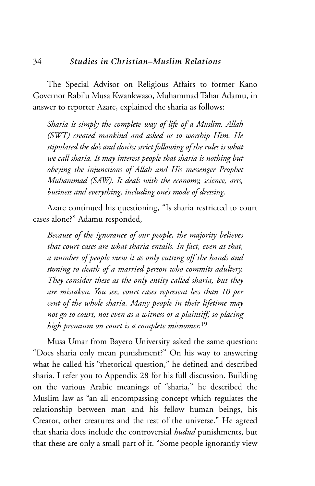The Special Advisor on Religious Affairs to former Kano Governor Rabi'u Musa Kwankwaso, Muhammad Tahar Adamu, in answer to reporter Azare, explained the sharia as follows:

*Sharia is simply the complete way of life of a Muslim. Allah (SWT) created mankind and asked us to worship Him. He stipulated the do's and don'ts; strict following of the rules is what we call sharia. It may interest people that sharia is nothing but obeying the injunctions of Allah and His messenger Prophet Muhammad (SAW). It deals with the economy, science, arts, business and everything, including one's mode of dressing.*

Azare continued his questioning, "Is sharia restricted to court cases alone?" Adamu responded,

*Because of the ignorance of our people, the majority believes that court cases are what sharia entails. In fact, even at that, a number of people view it as only cutting off the hands and stoning to death of a married person who commits adultery. They consider these as the only entity called sharia, but they are mistaken. You see, court cases represent less than 10 per cent of the whole sharia. Many people in their lifetime may not go to court, not even as a witness or a plaintiff, so placing high premium on court is a complete misnomer.*<sup>19</sup>

Musa Umar from Bayero University asked the same question: "Does sharia only mean punishment?" On his way to answering what he called his "rhetorical question," he defined and described sharia. I refer you to Appendix 28 for his full discussion. Building on the various Arabic meanings of "sharia," he described the Muslim law as "an all encompassing concept which regulates the relationship between man and his fellow human beings, his Creator, other creatures and the rest of the universe." He agreed that sharia does include the controversial *hudud* punishments, but that these are only a small part of it. "Some people ignorantly view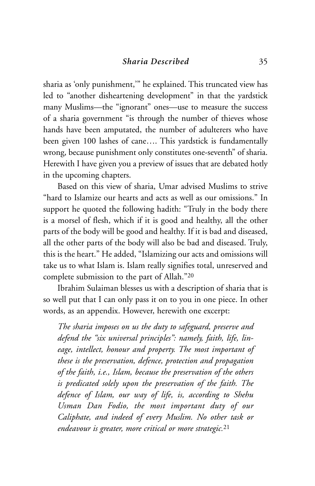sharia as 'only punishment,'" he explained. This truncated view has led to "another disheartening development" in that the yardstick many Muslims—the "ignorant" ones—use to measure the success of a sharia government "is through the number of thieves whose hands have been amputated, the number of adulterers who have been given 100 lashes of cane…. This yardstick is fundamentally wrong, because punishment only constitutes one-seventh" of sharia. Herewith I have given you a preview of issues that are debated hotly in the upcoming chapters.

Based on this view of sharia, Umar advised Muslims to strive "hard to Islamize our hearts and acts as well as our omissions." In support he quoted the following hadith: "Truly in the body there is a morsel of flesh, which if it is good and healthy, all the other parts of the body will be good and healthy. If it is bad and diseased, all the other parts of the body will also be bad and diseased. Truly, this is the heart." He added, "Islamizing our acts and omissions will take us to what Islam is. Islam really signifies total, unreserved and complete submission to the part of Allah."20

Ibrahim Sulaiman blesses us with a description of sharia that is so well put that I can only pass it on to you in one piece. In other words, as an appendix. However, herewith one excerpt:

*The sharia imposes on us the duty to safeguard, preserve and defend the "six universal principles": namely, faith, life, lineage, intellect, honour and property. The most important of these is the preservation, defence, protection and propagation of the faith, i.e., Islam, because the preservation of the others is predicated solely upon the preservation of the faith. The defence of Islam, our way of life, is, according to Shehu Usman Dan Fodio, the most important duty of our Caliphate, and indeed of every Muslim. No other task or endeavour is greater, more critical or more strategic.*<sup>21</sup>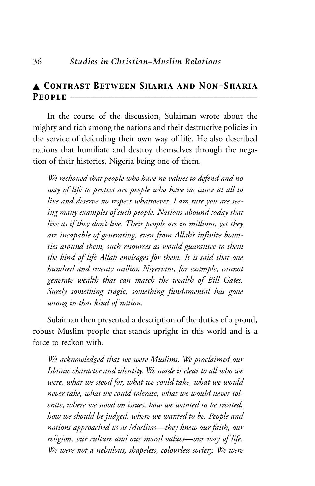# ▲ *Contrast Between Sharia and Non-Sharia* People  $-$

In the course of the discussion, Sulaiman wrote about the mighty and rich among the nations and their destructive policies in the service of defending their own way of life. He also described nations that humiliate and destroy themselves through the negation of their histories, Nigeria being one of them.

*We reckoned that people who have no values to defend and no way of life to protect are people who have no cause at all to live and deserve no respect whatsoever. I am sure you are seeing many examples of such people. Nations abound today that live as if they don't live. Their people are in millions, yet they are incapable of generating, even from Allah's infinite bounties around them, such resources as would guarantee to them the kind of life Allah envisages for them. It is said that one hundred and twenty million Nigerians, for example, cannot generate wealth that can match the wealth of Bill Gates. Surely something tragic, something fundamental has gone wrong in that kind of nation.*

Sulaiman then presented a description of the duties of a proud, robust Muslim people that stands upright in this world and is a force to reckon with.

*We acknowledged that we were Muslims. We proclaimed our Islamic character and identity. We made it clear to all who we were, what we stood for, what we could take, what we would never take, what we could tolerate, what we would never tolerate, where we stood on issues, how we wanted to be treated, how we should be judged, where we wanted to be. People and nations approached us as Muslims—they knew our faith, our religion, our culture and our moral values—our way of life. We were not a nebulous, shapeless, colourless society. We were*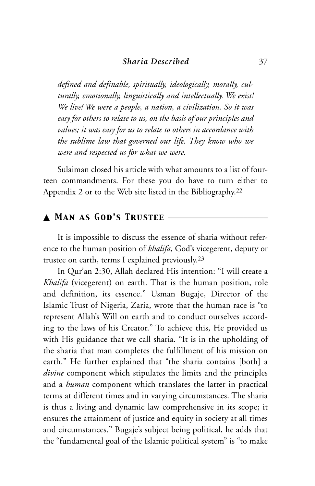*defined and definable, spiritually, ideologically, morally, culturally, emotionally, linguistically and intellectually. We exist! We live! We were a people, a nation, a civilization. So it was easy for others to relate to us, on the basis of our principles and values; it was easy for us to relate to others in accordance with the sublime law that governed our life. They know who we were and respected us for what we were.*

Sulaiman closed his article with what amounts to a list of fourteen commandments. For these you do have to turn either to Appendix 2 or to the Web site listed in the Bibliography.22

# $\blacktriangle$  MAN AS GOD'S TRUSTEE  $-$

It is impossible to discuss the essence of sharia without reference to the human position of *khalifa*, God's vicegerent, deputy or trustee on earth, terms I explained previously.23

In Qur'an 2:30, Allah declared His intention: "I will create a *Khalifa* (vicegerent) on earth. That is the human position, role and definition, its essence." Usman Bugaje, Director of the Islamic Trust of Nigeria, Zaria, wrote that the human race is "to represent Allah's Will on earth and to conduct ourselves according to the laws of his Creator." To achieve this, He provided us with His guidance that we call sharia. "It is in the upholding of the sharia that man completes the fulfillment of his mission on earth." He further explained that "the sharia contains [both] a *divine* component which stipulates the limits and the principles and a *human* component which translates the latter in practical terms at different times and in varying circumstances. The sharia is thus a living and dynamic law comprehensive in its scope; it ensures the attainment of justice and equity in society at all times and circumstances." Bugaje's subject being political, he adds that the "fundamental goal of the Islamic political system" is "to make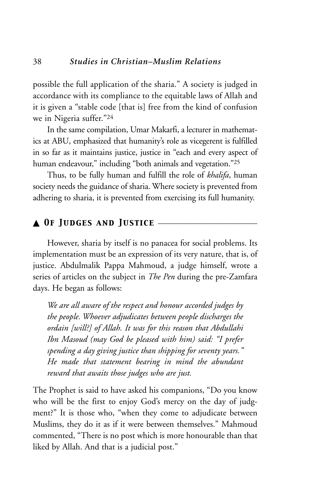possible the full application of the sharia." A society is judged in accordance with its compliance to the equitable laws of Allah and it is given a "stable code [that is] free from the kind of confusion we in Nigeria suffer."24

In the same compilation, Umar Makarfi, a lecturer in mathematics at ABU, emphasized that humanity's role as vicegerent is fulfilled in so far as it maintains justice, justice in "each and every aspect of human endeavour," including "both animals and vegetation."<sup>25</sup>

Thus, to be fully human and fulfill the role of *khalifa*, human society needs the guidance of sharia. Where society is prevented from adhering to sharia, it is prevented from exercising its full humanity.

## ▲ *Of Judges and Justice* \_\_\_\_\_\_\_\_\_\_\_\_\_\_\_\_\_\_\_\_\_\_\_\_\_

However, sharia by itself is no panacea for social problems. Its implementation must be an expression of its very nature, that is, of justice. Abdulmalik Pappa Mahmoud, a judge himself, wrote a series of articles on the subject in *The Pen* during the pre-Zamfara days. He began as follows:

*We are all aware of the respect and honour accorded judges by the people. Whoever adjudicates between people discharges the ordain [will?] of Allah. It was for this reason that Abdullahi Ibn Masoud (may God be pleased with him) said: "I prefer spending a day giving justice than shipping for seventy years." He made that statement bearing in mind the abundant reward that awaits those judges who are just.*

The Prophet is said to have asked his companions, "Do you know who will be the first to enjoy God's mercy on the day of judgment?" It is those who, "when they come to adjudicate between Muslims, they do it as if it were between themselves." Mahmoud commented, "There is no post which is more honourable than that liked by Allah. And that is a judicial post."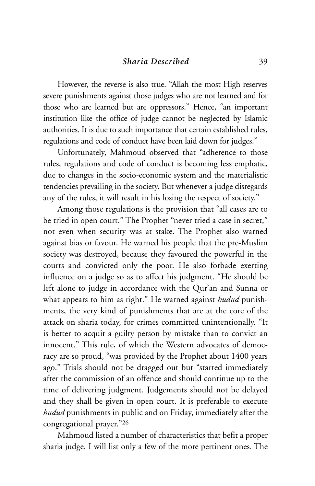However, the reverse is also true. "Allah the most High reserves severe punishments against those judges who are not learned and for those who are learned but are oppressors." Hence, "an important institution like the office of judge cannot be neglected by Islamic authorities. It is due to such importance that certain established rules, regulations and code of conduct have been laid down for judges."

Unfortunately, Mahmoud observed that "adherence to those rules, regulations and code of conduct is becoming less emphatic, due to changes in the socio-economic system and the materialistic tendencies prevailing in the society. But whenever a judge disregards any of the rules, it will result in his losing the respect of society."

Among those regulations is the provision that "all cases are to be tried in open court." The Prophet "never tried a case in secret," not even when security was at stake. The Prophet also warned against bias or favour. He warned his people that the pre-Muslim society was destroyed, because they favoured the powerful in the courts and convicted only the poor. He also forbade exerting influence on a judge so as to affect his judgment. "He should be left alone to judge in accordance with the Qur'an and Sunna or what appears to him as right." He warned against *hudud* punishments, the very kind of punishments that are at the core of the attack on sharia today, for crimes committed unintentionally. "It is better to acquit a guilty person by mistake than to convict an innocent." This rule, of which the Western advocates of democracy are so proud, "was provided by the Prophet about 1400 years ago." Trials should not be dragged out but "started immediately after the commission of an offence and should continue up to the time of delivering judgment. Judgements should not be delayed and they shall be given in open court. It is preferable to execute *hudud* punishments in public and on Friday, immediately after the congregational prayer."26

Mahmoud listed a number of characteristics that befit a proper sharia judge. I will list only a few of the more pertinent ones. The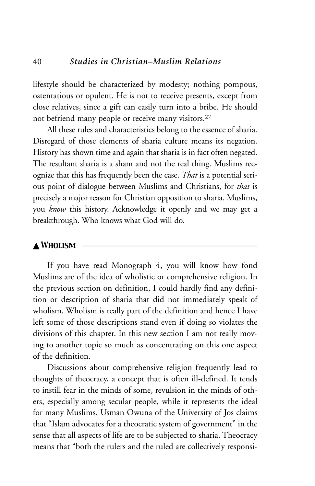lifestyle should be characterized by modesty; nothing pompous, ostentatious or opulent. He is not to receive presents, except from close relatives, since a gift can easily turn into a bribe. He should not befriend many people or receive many visitors.27

All these rules and characteristics belong to the essence of sharia. Disregard of those elements of sharia culture means its negation. History has shown time and again that sharia is in fact often negated. The resultant sharia is a sham and not the real thing. Muslims recognize that this has frequently been the case. *That* is a potential serious point of dialogue between Muslims and Christians, for *that* is precisely a major reason for Christian opposition to sharia. Muslims, you *know* this history. Acknowledge it openly and we may get a breakthrough. Who knows what God will do.

#### $\triangle$  Wholism

If you have read Monograph 4, you will know how fond Muslims are of the idea of wholistic or comprehensive religion. In the previous section on definition, I could hardly find any definition or description of sharia that did not immediately speak of wholism. Wholism is really part of the definition and hence I have left some of those descriptions stand even if doing so violates the divisions of this chapter. In this new section I am not really moving to another topic so much as concentrating on this one aspect of the definition.

Discussions about comprehensive religion frequently lead to thoughts of theocracy, a concept that is often ill-defined. It tends to instill fear in the minds of some, revulsion in the minds of others, especially among secular people, while it represents the ideal for many Muslims. Usman Owuna of the University of Jos claims that "Islam advocates for a theocratic system of government" in the sense that all aspects of life are to be subjected to sharia. Theocracy means that "both the rulers and the ruled are collectively responsi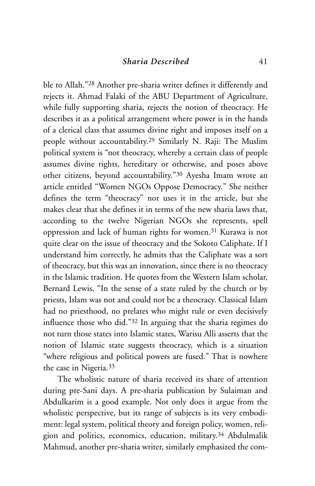ble to Allah."28 Another pre-sharia writer defines it differently and rejects it. Ahmad Falaki of the ABU Department of Agriculture, while fully supporting sharia, rejects the notion of theocracy. He describes it as a political arrangement where power is in the hands of a clerical class that assumes divine right and imposes itself on a people without accountability.29 Similarly N. Raji: The Muslim political system is "not theocracy, whereby a certain class of people assumes divine rights, hereditary or otherwise, and poses above other citizens, beyond accountability."30 Ayesha Imam wrote an article entitled "Women NGOs Oppose Democracy." She neither defines the term "theocracy" nor uses it in the article, but she makes clear that she defines it in terms of the new sharia laws that, according to the twelve Nigerian NGOs she represents, spell oppression and lack of human rights for women.31 Kurawa is not quite clear on the issue of theocracy and the Sokoto Caliphate. If I understand him correctly, he admits that the Caliphate was a sort of theocracy, but this was an innovation, since there is no theocracy in the Islamic tradition. He quotes from the Western Islam scholar, Bernard Lewis, "In the sense of a state ruled by the church or by priests, Islam was not and could not be a theocracy. Classical Islam had no priesthood, no prelates who might rule or even decisively influence those who did."32 In arguing that the sharia regimes do not turn those states into Islamic states, Warisu Alli asserts that the notion of Islamic state suggests theocracy, which is a situation "where religious and political powers are fused." That is nowhere the case in Nigeria.33

The wholistic nature of sharia received its share of attention during pre-Sani days. A pre-sharia publication by Sulaiman and Abdulkarim is a good example. Not only does it argue from the wholistic perspective, but its range of subjects is its very embodiment: legal system, political theory and foreign policy, women, religion and politics, economics, education, military.34 Abdulmalik Mahmud, another pre-sharia writer, similarly emphasized the com-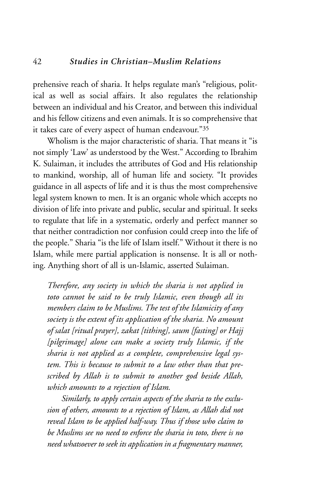prehensive reach of sharia. It helps regulate man's "religious, political as well as social affairs. It also regulates the relationship between an individual and his Creator, and between this individual and his fellow citizens and even animals. It is so comprehensive that it takes care of every aspect of human endeavour."35

Wholism is the major characteristic of sharia. That means it "is not simply 'Law' as understood by the West." According to Ibrahim K. Sulaiman, it includes the attributes of God and His relationship to mankind, worship, all of human life and society. "It provides guidance in all aspects of life and it is thus the most comprehensive legal system known to men. It is an organic whole which accepts no division of life into private and public, secular and spiritual. It seeks to regulate that life in a systematic, orderly and perfect manner so that neither contradiction nor confusion could creep into the life of the people." Sharia "is the life of Islam itself." Without it there is no Islam, while mere partial application is nonsense. It is all or nothing. Anything short of all is un-Islamic, asserted Sulaiman.

*Therefore, any society in which the sharia is not applied in toto cannot be said to be truly Islamic, even though all its members claim to be Muslims. The test of the Islamicity of any society is the extent of its application of the sharia. No amount of salat [ritual prayer], zakat [tithing], saum [fasting] or Hajj [pilgrimage] alone can make a society truly Islamic, if the sharia is not applied as a complete, comprehensive legal system. This is because to submit to a law other than that prescribed by Allah is to submit to another god beside Allah, which amounts to a rejection of Islam.*

*Similarly, to apply certain aspects of the sharia to the exclusion of others, amounts to a rejection of Islam, as Allah did not reveal Islam to be applied half-way. Thus if those who claim to be Muslims see no need to enforce the sharia in toto, there is no need whatsoever to seek its application in a fragmentary manner,*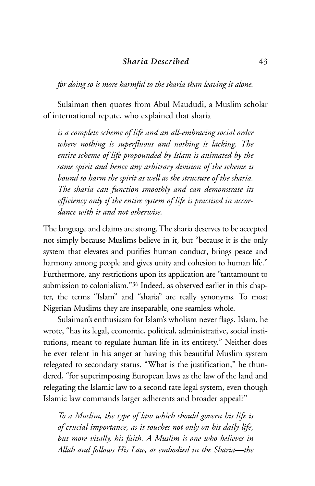*for doing so is more harmful to the sharia than leaving it alone.*

Sulaiman then quotes from Abul Maududi, a Muslim scholar of international repute, who explained that sharia

*is a complete scheme of life and an all-embracing social order where nothing is superfluous and nothing is lacking. The entire scheme of life propounded by Islam is animated by the same spirit and hence any arbitrary division of the scheme is bound to harm the spirit as well as the structure of the sharia. The sharia can function smoothly and can demonstrate its efficiency only if the entire system of life is practised in accordance with it and not otherwise.*

The language and claims are strong. The sharia deserves to be accepted not simply because Muslims believe in it, but "because it is the only system that elevates and purifies human conduct, brings peace and harmony among people and gives unity and cohesion to human life." Furthermore, any restrictions upon its application are "tantamount to submission to colonialism."36 Indeed, as observed earlier in this chapter, the terms "Islam" and "sharia" are really synonyms. To most Nigerian Muslims they are inseparable, one seamless whole.

Sulaiman's enthusiasm for Islam's wholism never flags. Islam, he wrote, "has its legal, economic, political, administrative, social institutions, meant to regulate human life in its entirety." Neither does he ever relent in his anger at having this beautiful Muslim system relegated to secondary status. "What is the justification," he thundered, "for superimposing European laws as the law of the land and relegating the Islamic law to a second rate legal system, even though Islamic law commands larger adherents and broader appeal?"

*To a Muslim, the type of law which should govern his life is of crucial importance, as it touches not only on his daily life, but more vitally, his faith. A Muslim is one who believes in Allah and follows His Law, as embodied in the Sharia—the*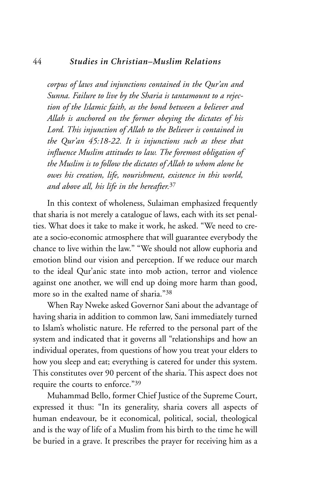#### 44 *Studies in Christian–Muslim Relations*

*corpus of laws and injunctions contained in the Qur'an and Sunna. Failure to live by the Sharia is tantamount to a rejection of the Islamic faith, as the bond between a believer and Allah is anchored on the former obeying the dictates of his Lord. This injunction of Allah to the Believer is contained in the Qur'an 45:18-22. It is injunctions such as these that influence Muslim attitudes to law. The foremost obligation of the Muslim is to follow the dictates of Allah to whom alone he owes his creation, life, nourishment, existence in this world, and above all, his life in the hereafter.*<sup>37</sup>

In this context of wholeness, Sulaiman emphasized frequently that sharia is not merely a catalogue of laws, each with its set penalties. What does it take to make it work, he asked. "We need to create a socio-economic atmosphere that will guarantee everybody the chance to live within the law." "We should not allow euphoria and emotion blind our vision and perception. If we reduce our march to the ideal Qur'anic state into mob action, terror and violence against one another, we will end up doing more harm than good, more so in the exalted name of sharia."38

When Ray Nweke asked Governor Sani about the advantage of having sharia in addition to common law, Sani immediately turned to Islam's wholistic nature. He referred to the personal part of the system and indicated that it governs all "relationships and how an individual operates, from questions of how you treat your elders to how you sleep and eat; everything is catered for under this system. This constitutes over 90 percent of the sharia. This aspect does not require the courts to enforce."39

Muhammad Bello, former Chief Justice of the Supreme Court, expressed it thus: "In its generality, sharia covers all aspects of human endeavour, be it economical, political, social, theological and is the way of life of a Muslim from his birth to the time he will be buried in a grave. It prescribes the prayer for receiving him as a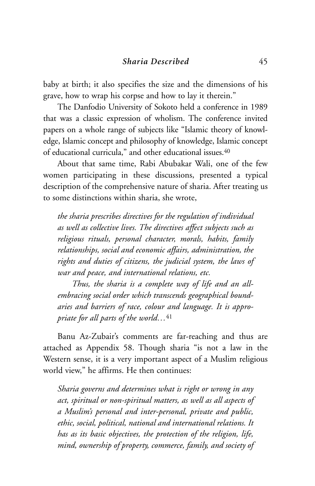baby at birth; it also specifies the size and the dimensions of his grave, how to wrap his corpse and how to lay it therein."

The Danfodio University of Sokoto held a conference in 1989 that was a classic expression of wholism. The conference invited papers on a whole range of subjects like "Islamic theory of knowledge, Islamic concept and philosophy of knowledge, Islamic concept of educational curricula," and other educational issues.40

About that same time, Rabi Abubakar Wali, one of the few women participating in these discussions, presented a typical description of the comprehensive nature of sharia. After treating us to some distinctions within sharia, she wrote,

*the sharia prescribes directives for the regulation of individual as well as collective lives. The directives affect subjects such as religious rituals, personal character, morals, habits, family relationships, social and economic affairs, administration, the rights and duties of citizens, the judicial system, the laws of war and peace, and international relations, etc.*

*Thus, the sharia is a complete way of life and an allembracing social order which transcends geographical boundaries and barriers of race, colour and language. It is appropriate for all parts of the world…*<sup>41</sup>

Banu Az-Zubair's comments are far-reaching and thus are attached as Appendix 58. Though sharia "is not a law in the Western sense, it is a very important aspect of a Muslim religious world view," he affirms. He then continues:

*Sharia governs and determines what is right or wrong in any act, spiritual or non-spiritual matters, as well as all aspects of a Muslim's personal and inter-personal, private and public, ethic, social, political, national and international relations. It has as its basic objectives, the protection of the religion, life, mind, ownership of property, commerce, family, and society of*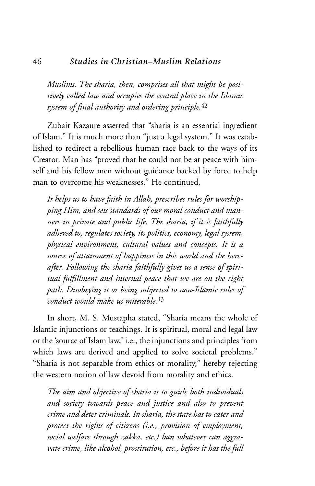#### 46 *Studies in Christian–Muslim Relations*

*Muslims. The sharia, then, comprises all that might be positively called law and occupies the central place in the Islamic system of final authority and ordering principle.*<sup>42</sup>

Zubair Kazaure asserted that "sharia is an essential ingredient of Islam." It is much more than "just a legal system." It was established to redirect a rebellious human race back to the ways of its Creator. Man has "proved that he could not be at peace with himself and his fellow men without guidance backed by force to help man to overcome his weaknesses." He continued,

*It helps us to have faith in Allah, prescribes rules for worshipping Him, and sets standards of our moral conduct and manners in private and public life. The sharia, if it is faithfully adhered to, regulates society, its politics, economy, legal system, physical environment, cultural values and concepts. It is a source of attainment of happiness in this world and the hereafter. Following the sharia faithfully gives us a sense of spiritual fulfillment and internal peace that we are on the right path. Disobeying it or being subjected to non-Islamic rules of conduct would make us miserable.*<sup>43</sup>

In short, M. S. Mustapha stated, "Sharia means the whole of Islamic injunctions or teachings. It is spiritual, moral and legal law or the 'source of Islam law,' i.e., the injunctions and principles from which laws are derived and applied to solve societal problems." "Sharia is not separable from ethics or morality," hereby rejecting the western notion of law devoid from morality and ethics.

*The aim and objective of sharia is to guide both individuals and society towards peace and justice and also to prevent crime and deter criminals. In sharia, the state has to cater and protect the rights of citizens (i.e., provision of employment, social welfare through zakka, etc.) ban whatever can aggravate crime, like alcohol, prostitution, etc., before it has the full*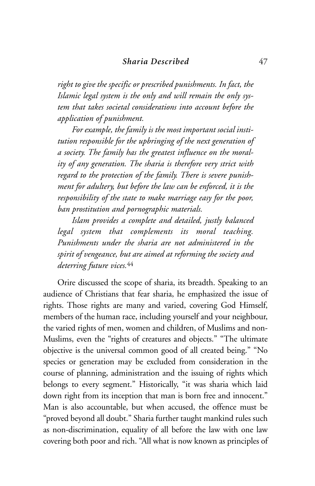*right to give the specific or prescribed punishments. In fact, the Islamic legal system is the only and will remain the only system that takes societal considerations into account before the application of punishment.*

*For example, the family is the most important social institution responsible for the upbringing of the next generation of a society. The family has the greatest influence on the morality of any generation. The sharia is therefore very strict with regard to the protection of the family. There is severe punishment for adultery, but before the law can be enforced, it is the responsibility of the state to make marriage easy for the poor, ban prostitution and pornographic materials.*

*Islam provides a complete and detailed, justly balanced legal system that complements its moral teaching. Punishments under the sharia are not administered in the spirit of vengeance, but are aimed at reforming the society and deterring future vices.*<sup>44</sup>

Orire discussed the scope of sharia, its breadth. Speaking to an audience of Christians that fear sharia, he emphasized the issue of rights. Those rights are many and varied, covering God Himself, members of the human race, including yourself and your neighbour, the varied rights of men, women and children, of Muslims and non-Muslims, even the "rights of creatures and objects." "The ultimate objective is the universal common good of all created being." "No species or generation may be excluded from consideration in the course of planning, administration and the issuing of rights which belongs to every segment." Historically, "it was sharia which laid down right from its inception that man is born free and innocent." Man is also accountable, but when accused, the offence must be "proved beyond all doubt." Sharia further taught mankind rules such as non-discrimination, equality of all before the law with one law covering both poor and rich. "All what is now known as principles of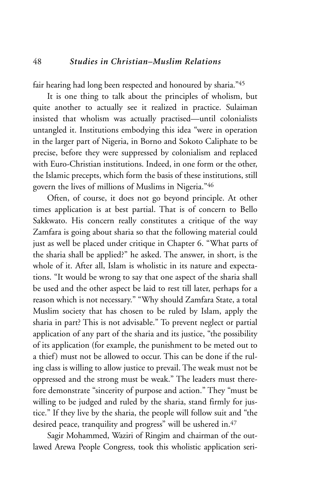fair hearing had long been respected and honoured by sharia."45

It is one thing to talk about the principles of wholism, but quite another to actually see it realized in practice. Sulaiman insisted that wholism was actually practised—until colonialists untangled it. Institutions embodying this idea "were in operation in the larger part of Nigeria, in Borno and Sokoto Caliphate to be precise, before they were suppressed by colonialism and replaced with Euro-Christian institutions. Indeed, in one form or the other, the Islamic precepts, which form the basis of these institutions, still govern the lives of millions of Muslims in Nigeria."46

Often, of course, it does not go beyond principle. At other times application is at best partial. That is of concern to Bello Sakkwato. His concern really constitutes a critique of the way Zamfara is going about sharia so that the following material could just as well be placed under critique in Chapter 6. "What parts of the sharia shall be applied?" he asked. The answer, in short, is the whole of it. After all, Islam is wholistic in its nature and expectations. "It would be wrong to say that one aspect of the sharia shall be used and the other aspect be laid to rest till later, perhaps for a reason which is not necessary." "Why should Zamfara State, a total Muslim society that has chosen to be ruled by Islam, apply the sharia in part? This is not advisable." To prevent neglect or partial application of any part of the sharia and its justice, "the possibility of its application (for example, the punishment to be meted out to a thief) must not be allowed to occur. This can be done if the ruling class is willing to allow justice to prevail. The weak must not be oppressed and the strong must be weak." The leaders must therefore demonstrate "sincerity of purpose and action." They "must be willing to be judged and ruled by the sharia, stand firmly for justice." If they live by the sharia, the people will follow suit and "the desired peace, tranquility and progress" will be ushered in.<sup>47</sup>

Sagir Mohammed, Waziri of Ringim and chairman of the outlawed Arewa People Congress, took this wholistic application seri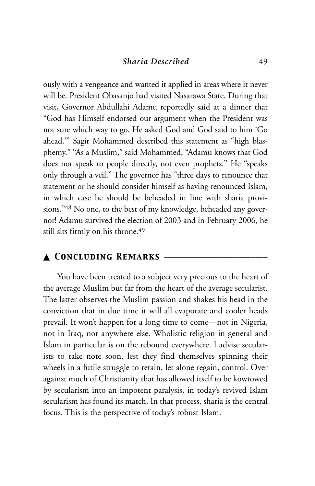ously with a vengeance and wanted it applied in areas where it never will be. President Obasanjo had visited Nasarawa State. During that visit, Governor Abdullahi Adamu reportedly said at a dinner that "God has Himself endorsed our argument when the President was not sure which way to go. He asked God and God said to him 'Go ahead.'" Sagir Mohammed described this statement as "high blasphemy." "As a Muslim," said Mohammed, "Adamu knows that God does not speak to people directly, not even prophets." He "speaks only through a veil." The governor has "three days to renounce that statement or he should consider himself as having renounced Islam, in which case he should be beheaded in line with sharia provisions."48 No one, to the best of my knowledge, beheaded any governor! Adamu survived the election of 2003 and in February 2006, he still sits firmly on his throne.<sup>49</sup>

## ▲ *Concluding Remarks* \_\_\_\_\_\_\_\_\_\_\_\_\_\_\_\_\_\_\_\_\_\_\_\_\_\_

You have been treated to a subject very precious to the heart of the average Muslim but far from the heart of the average secularist. The latter observes the Muslim passion and shakes his head in the conviction that in due time it will all evaporate and cooler heads prevail. It won't happen for a long time to come—not in Nigeria, not in Iraq, nor anywhere else. Wholistic religion in general and Islam in particular is on the rebound everywhere. I advise secularists to take note soon, lest they find themselves spinning their wheels in a futile struggle to retain, let alone regain, control. Over against much of Christianity that has allowed itself to be kowtowed by secularism into an impotent paralysis, in today's revived Islam secularism has found its match. In that process, sharia is the central focus. This is the perspective of today's robust Islam.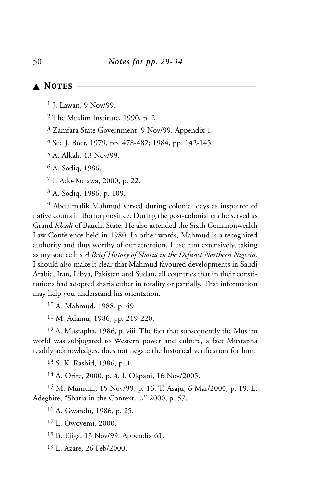## ▲ *Notes* \_\_\_\_\_\_\_\_\_\_\_\_\_\_\_\_\_\_\_\_\_\_\_\_\_\_\_\_\_\_\_\_\_\_\_\_\_\_\_\_\_\_\_\_\_

J. Lawan, 9 Nov/99.

The Muslim Institute, 1990, p. 2.

Zamfara State Government, 9 Nov/99. Appendix 1.

See J. Boer, 1979, pp. 478-482; 1984, pp. 142-145.

A. Alkali, 13 Nov/99.

A. Sodiq, 1986.

I. Ado-Kurawa, 2000, p. 22.

A. Sodiq, 1986, p. 109.

 Abdulmalik Mahmud served during colonial days as inspector of native courts in Borno province. During the post-colonial era he served as Grand *Khadi* of Bauchi State. He also attended the Sixth Commonwealth Law Conference held in 1980. In other words, Mahmud is a recognized authority and thus worthy of our attention. I use him extensively, taking as my source his *A Brief History of Sharia in the Defunct Northern Nigeria.* I should also make it clear that Mahmud favoured developments in Saudi Arabia, Iran, Libya, Pakistan and Sudan, all countries that in their constitutions had adopted sharia either in totality or partially. That information may help you understand his orientation.

A. Mahmud, 1988, p. 49.

M. Adamu, 1986, pp. 219-220.

 A. Mustapha, 1986, p. viii. The fact that subsequently the Muslim world was subjugated to Western power and culture, a fact Mustapha readily acknowledges, does not negate the historical verification for him.

S. K. Rashid, 1986, p. 1.

A. Orire, 2000, p. 4. I. Okpani, 16 Nov/2005.

 M. Mumuni, 15 Nov/99, p. 16. T. Asaju, 6 Mar/2000, p. 19. L. Adegbite, "Sharia in the Context…," 2000, p. 57.

A. Gwandu, 1986, p. 25.

L. Owoyemi, 2000.

B. Ejiga, 13 Nov/99. Appendix 61.

L. Azare, 26 Feb/2000.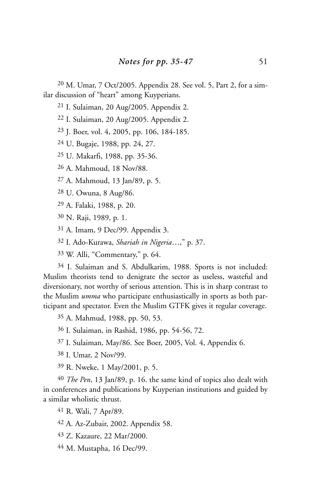M. Umar, 7 Oct/2005. Appendix 28. See vol. 5, Part 2, for a similar discussion of "heart" among Kuyperians.

I. Sulaiman, 20 Aug/2005. Appendix 2.

I. Sulaiman, 20 Aug/2005. Appendix 2.

J. Boer, vol. 4, 2005, pp. 106, 184-185.

U. Bugaje, 1988, pp. 24, 27.

U. Makarfi, 1988, pp. 35-36.

A. Mahmoud, 18 Nov/88.

A. Mahmoud, 13 Jan/89, p. 5.

U. Owuna, 8 Aug/86.

A. Falaki, 1988, p. 20.

N. Raji, 1989, p. 1.

A. Imam, 9 Dec/99. Appendix 3.

I. Ado-Kurawa, *Shariah in Nigeria*…," p. 37.

W. Alli, "Commentary," p. 64.

 I. Sulaiman and S. Abdulkarim, 1988. Sports is not included: Muslim theorists tend to denigrate the sector as useless, wasteful and diversionary, not worthy of serious attention. This is in sharp contrast to the Muslim *umma* who participate enthusiastically in sports as both participant and spectator. Even the Muslim GTFK gives it regular coverage.

A. Mahmud, 1988, pp. 50, 53.

I. Sulaiman, in Rashid, 1986, pp. 54-56, 72.

I. Sulaiman, May/86. See Boer, 2005, Vol. 4, Appendix 6.

I. Umar, 2 Nov/99.

R. Nweke, 1 May/2001, p. 5.

 *The Pen*, 13 Jan/89, p. 16. the same kind of topics also dealt with in conferences and publications by Kuyperian institutions and guided by a similar wholistic thrust.

R. Wali, 7 Apr/89.

A. Az-Zubair, 2002. Appendix 58.

Z. Kazaure, 22 Mar/2000.

M. Mustapha, 16 Dec/99.